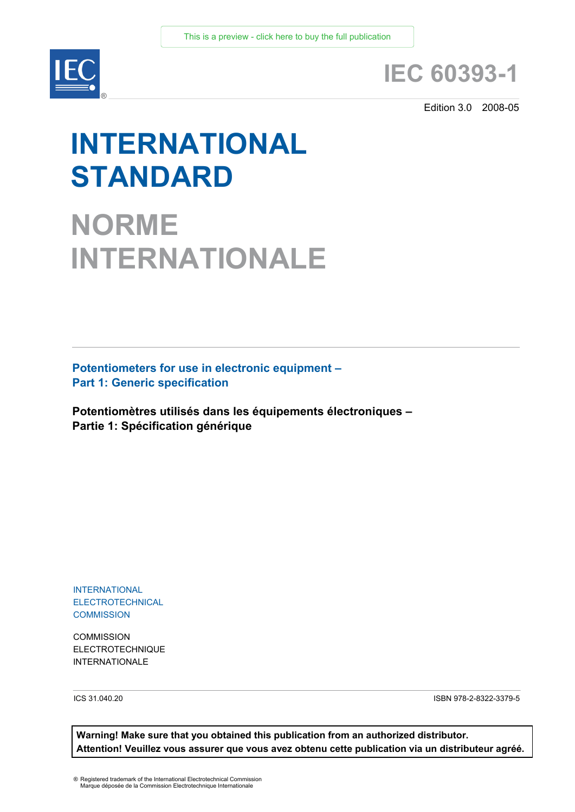

## **IEC 60393-1**

Edition 3.0 2008-05

# **INTERNATIONAL STANDARD**

**NORME INTERNATIONALE**

**Potentiometers for use in electronic equipment – Part 1: Generic specification**

**Potentiomètres utilisés dans les équipements électroniques – Partie 1: Spécification générique**

INTERNATIONAL ELECTROTECHNICAL **COMMISSION** 

**COMMISSION** ELECTROTECHNIQUE INTERNATIONALE

ICS 31.040.20 ISBN 978-2-8322-3379-5

**Warning! Make sure that you obtained this publication from an authorized distributor. Attention! Veuillez vous assurer que vous avez obtenu cette publication via un distributeur agréé.**

® Registered trademark of the International Electrotechnical Commission Marque déposée de la Commission Electrotechnique Internationale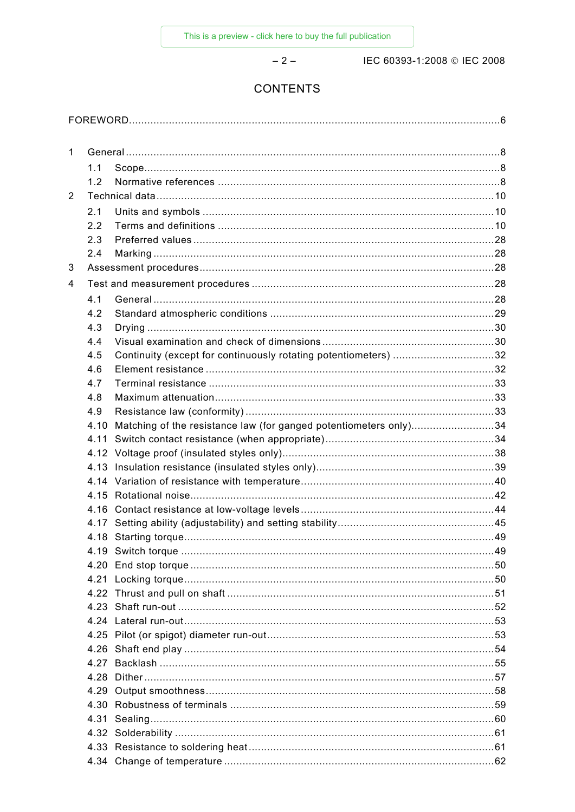$-2-$ 

IEC 60393-1:2008 © IEC 2008

### **CONTENTS**

| 1              |      |                                                                   |  |
|----------------|------|-------------------------------------------------------------------|--|
|                | 1.1  |                                                                   |  |
|                | 1.2  |                                                                   |  |
| $\overline{2}$ |      |                                                                   |  |
|                | 2.1  |                                                                   |  |
|                | 2.2  |                                                                   |  |
|                | 2.3  |                                                                   |  |
|                | 2.4  |                                                                   |  |
| 3              |      |                                                                   |  |
| 4              |      |                                                                   |  |
|                | 4.1  |                                                                   |  |
|                | 4.2  |                                                                   |  |
|                | 4.3  |                                                                   |  |
|                | 4.4  |                                                                   |  |
|                | 4.5  | Continuity (except for continuously rotating potentiometers) 32   |  |
|                | 4.6  |                                                                   |  |
|                | 4.7  |                                                                   |  |
|                | 4.8  |                                                                   |  |
|                | 4.9  |                                                                   |  |
|                | 4.10 | Matching of the resistance law (for ganged potentiometers only)34 |  |
|                | 4.11 |                                                                   |  |
|                |      |                                                                   |  |
|                |      |                                                                   |  |
|                |      |                                                                   |  |
|                |      |                                                                   |  |
|                |      |                                                                   |  |
|                |      |                                                                   |  |
|                | 4.18 |                                                                   |  |
|                |      |                                                                   |  |
|                |      |                                                                   |  |
|                |      |                                                                   |  |
|                |      |                                                                   |  |
|                |      |                                                                   |  |
|                |      |                                                                   |  |
|                |      |                                                                   |  |
|                |      |                                                                   |  |
|                | 4.27 |                                                                   |  |
|                | 4.28 |                                                                   |  |
|                | 4.29 |                                                                   |  |
|                |      |                                                                   |  |
|                |      |                                                                   |  |
|                |      |                                                                   |  |
|                |      |                                                                   |  |
|                |      |                                                                   |  |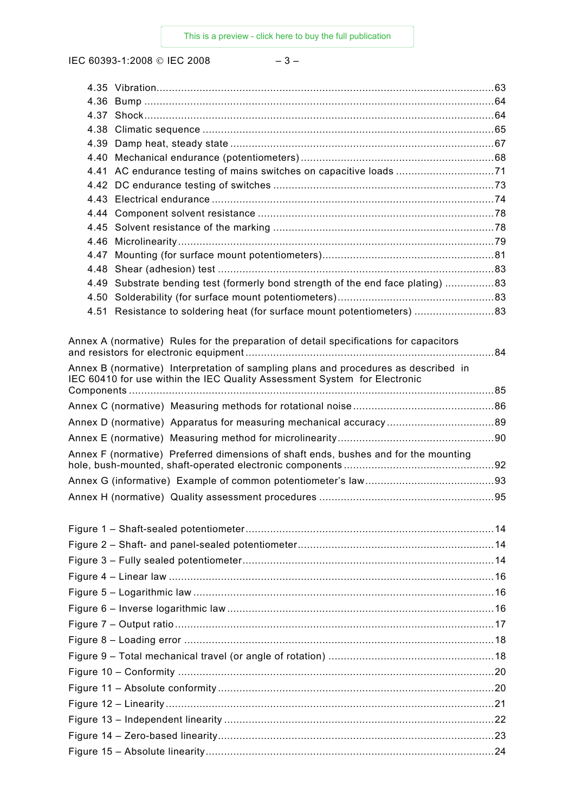IEC 60393-1:2008 © IEC 2008 – 3 –

| 4.36 |                                                                                       |  |
|------|---------------------------------------------------------------------------------------|--|
| 4.37 |                                                                                       |  |
| 4.38 |                                                                                       |  |
| 4.39 |                                                                                       |  |
| 4.40 |                                                                                       |  |
|      | 4.41 AC endurance testing of mains switches on capacitive loads 71                    |  |
|      |                                                                                       |  |
|      |                                                                                       |  |
|      |                                                                                       |  |
| 4.46 |                                                                                       |  |
|      |                                                                                       |  |
| 4.48 |                                                                                       |  |
| 4.49 | Substrate bending test (formerly bond strength of the end face plating) 83            |  |
| 4.50 |                                                                                       |  |
| 4.51 |                                                                                       |  |
|      |                                                                                       |  |
|      | Annex A (normative) Rules for the preparation of detail specifications for capacitors |  |
|      |                                                                                       |  |
|      | Annex B (normative) Interpretation of sampling plans and procedures as described in   |  |
|      | IEC 60410 for use within the IEC Quality Assessment System for Electronic             |  |
|      |                                                                                       |  |
|      |                                                                                       |  |
|      |                                                                                       |  |
|      |                                                                                       |  |
|      | Annex F (normative) Preferred dimensions of shaft ends, bushes and for the mounting   |  |
|      |                                                                                       |  |
|      |                                                                                       |  |
|      |                                                                                       |  |
|      |                                                                                       |  |
|      |                                                                                       |  |
|      |                                                                                       |  |
|      |                                                                                       |  |
|      |                                                                                       |  |
|      |                                                                                       |  |
|      |                                                                                       |  |
|      |                                                                                       |  |
|      |                                                                                       |  |
|      |                                                                                       |  |
|      |                                                                                       |  |
|      |                                                                                       |  |
|      |                                                                                       |  |
|      |                                                                                       |  |
|      |                                                                                       |  |
|      |                                                                                       |  |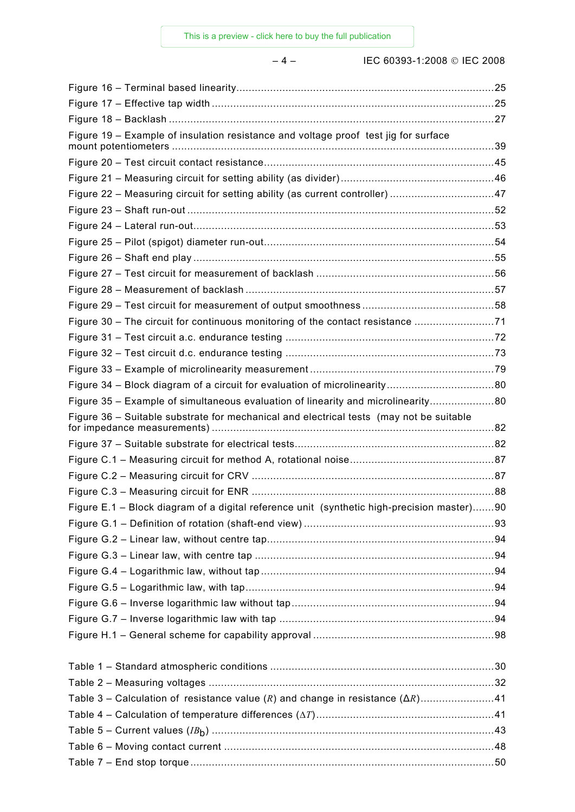– 4 – IEC 60393-1:2008 IEC 2008

| Figure 19 - Example of insulation resistance and voltage proof test jig for surface        |  |
|--------------------------------------------------------------------------------------------|--|
|                                                                                            |  |
|                                                                                            |  |
| Figure 22 - Measuring circuit for setting ability (as current controller) 47               |  |
|                                                                                            |  |
|                                                                                            |  |
|                                                                                            |  |
|                                                                                            |  |
|                                                                                            |  |
|                                                                                            |  |
|                                                                                            |  |
| Figure 30 - The circuit for continuous monitoring of the contact resistance 71             |  |
|                                                                                            |  |
|                                                                                            |  |
|                                                                                            |  |
|                                                                                            |  |
| Figure 35 - Example of simultaneous evaluation of linearity and microlinearity80           |  |
| Figure 36 - Suitable substrate for mechanical and electrical tests (may not be suitable    |  |
|                                                                                            |  |
|                                                                                            |  |
|                                                                                            |  |
|                                                                                            |  |
| Figure E.1 - Block diagram of a digital reference unit (synthetic high-precision master)90 |  |
|                                                                                            |  |
|                                                                                            |  |
|                                                                                            |  |
|                                                                                            |  |
|                                                                                            |  |
|                                                                                            |  |
|                                                                                            |  |
|                                                                                            |  |
|                                                                                            |  |
|                                                                                            |  |
| Table 3 – Calculation of resistance value $(R)$ and change in resistance $(\Delta R)$ 41   |  |
|                                                                                            |  |
|                                                                                            |  |
|                                                                                            |  |
|                                                                                            |  |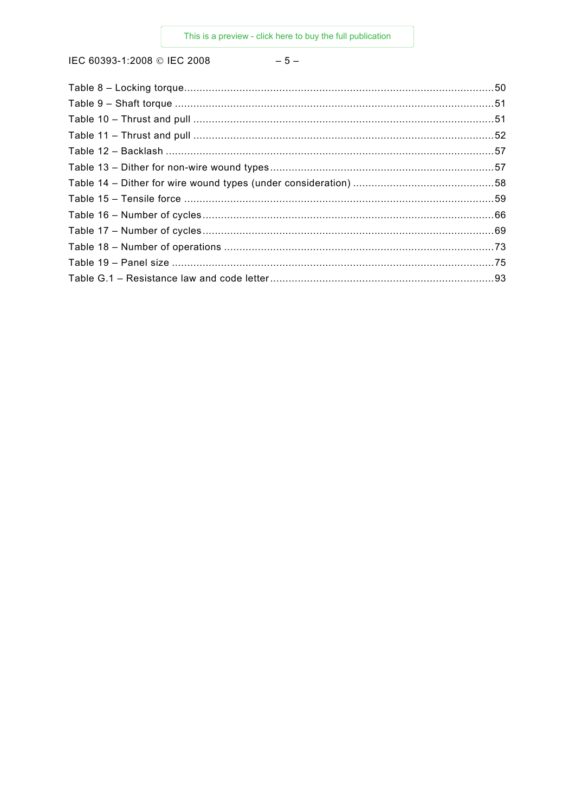IEC 60393-1:2008 © IEC 2008

 $-5-$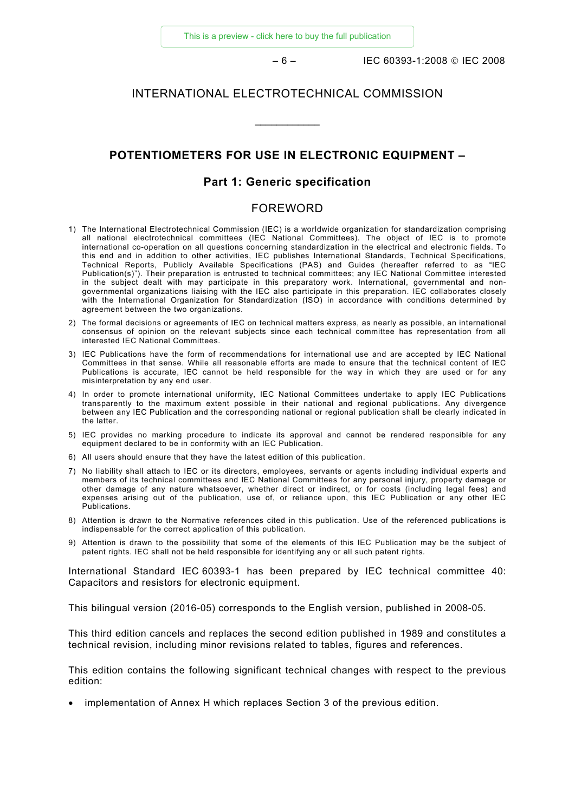[This is a preview - click here to buy the full publication](https://webstore.iec.ch/publication/2017&preview=1)

– 6 – IEC 60393-1:2008 IEC 2008

### INTERNATIONAL ELECTROTECHNICAL COMMISSION

 $\overline{\phantom{a}}$ 

### **POTENTIOMETERS FOR USE IN ELECTRONIC EQUIPMENT –**

### **Part 1: Generic specification**

### FOREWORD

- 1) The International Electrotechnical Commission (IEC) is a worldwide organization for standardization comprising all national electrotechnical committees (IEC National Committees). The object of IEC is to promote international co-operation on all questions concerning standardization in the electrical and electronic fields. To this end and in addition to other activities, IEC publishes International Standards, Technical Specifications, Technical Reports, Publicly Available Specifications (PAS) and Guides (hereafter referred to as "IEC Publication(s)"). Their preparation is entrusted to technical committees; any IEC National Committee interested in the subject dealt with may participate in this preparatory work. International, governmental and nongovernmental organizations liaising with the IEC also participate in this preparation. IEC collaborates closely with the International Organization for Standardization (ISO) in accordance with conditions determined by agreement between the two organizations.
- 2) The formal decisions or agreements of IEC on technical matters express, as nearly as possible, an international consensus of opinion on the relevant subjects since each technical committee has representation from all interested IEC National Committees.
- 3) IEC Publications have the form of recommendations for international use and are accepted by IEC National Committees in that sense. While all reasonable efforts are made to ensure that the technical content of IEC Publications is accurate, IEC cannot be held responsible for the way in which they are used or for any misinterpretation by any end user.
- 4) In order to promote international uniformity, IEC National Committees undertake to apply IEC Publications transparently to the maximum extent possible in their national and regional publications. Any divergence between any IEC Publication and the corresponding national or regional publication shall be clearly indicated in the latter.
- 5) IEC provides no marking procedure to indicate its approval and cannot be rendered responsible for any equipment declared to be in conformity with an IEC Publication.
- 6) All users should ensure that they have the latest edition of this publication.
- 7) No liability shall attach to IEC or its directors, employees, servants or agents including individual experts and members of its technical committees and IEC National Committees for any personal injury, property damage or other damage of any nature whatsoever, whether direct or indirect, or for costs (including legal fees) and expenses arising out of the publication, use of, or reliance upon, this IEC Publication or any other IEC Publications.
- 8) Attention is drawn to the Normative references cited in this publication. Use of the referenced publications is indispensable for the correct application of this publication.
- 9) Attention is drawn to the possibility that some of the elements of this IEC Publication may be the subject of patent rights. IEC shall not be held responsible for identifying any or all such patent rights.

International Standard IEC 60393-1 has been prepared by IEC technical committee 40: Capacitors and resistors for electronic equipment.

This bilingual version (2016-05) corresponds to the English version, published in 2008-05.

This third edition cancels and replaces the second edition published in 1989 and constitutes a technical revision, including minor revisions related to tables, figures and references.

This edition contains the following significant technical changes with respect to the previous edition:

• implementation of Annex H which replaces Section 3 of the previous edition.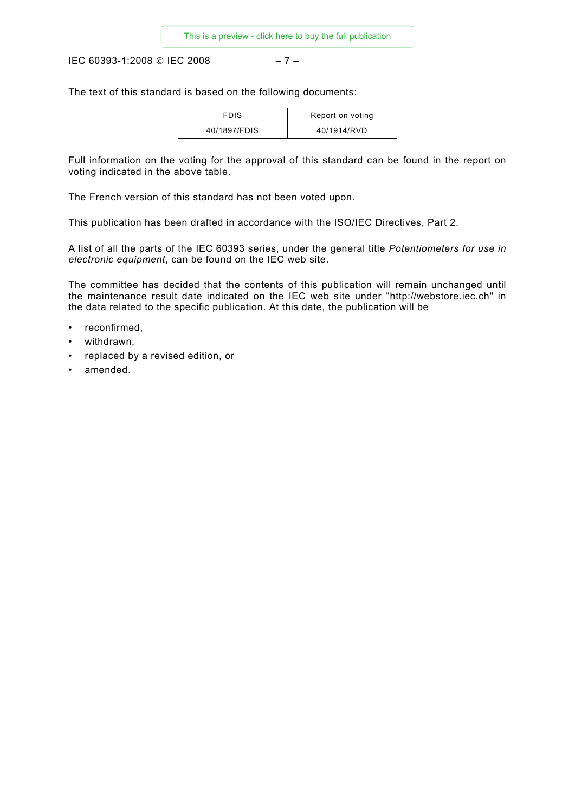IEC 60393-1:2008 IEC 2008 – 7 –

The text of this standard is based on the following documents:

| <b>FDIS</b>  | Report on voting |
|--------------|------------------|
| 40/1897/FDIS | 40/1914/RVD      |

Full information on the voting for the approval of this standard can be found in the report on voting indicated in the above table.

The French version of this standard has not been voted upon.

This publication has been drafted in accordance with the ISO/IEC Directives, Part 2.

A list of all the parts of the IEC 60393 series, under the general title *Potentiometers for use in electronic equipment*, can be found on the IEC web site.

The committee has decided that the contents of this publication will remain unchanged until the maintenance result date indicated on the IEC web site under "http://webstore.iec.ch" in the data related to the specific publication. At this date, the publication will be

- reconfirmed,
- withdrawn,
- replaced by a revised edition, or
- amended.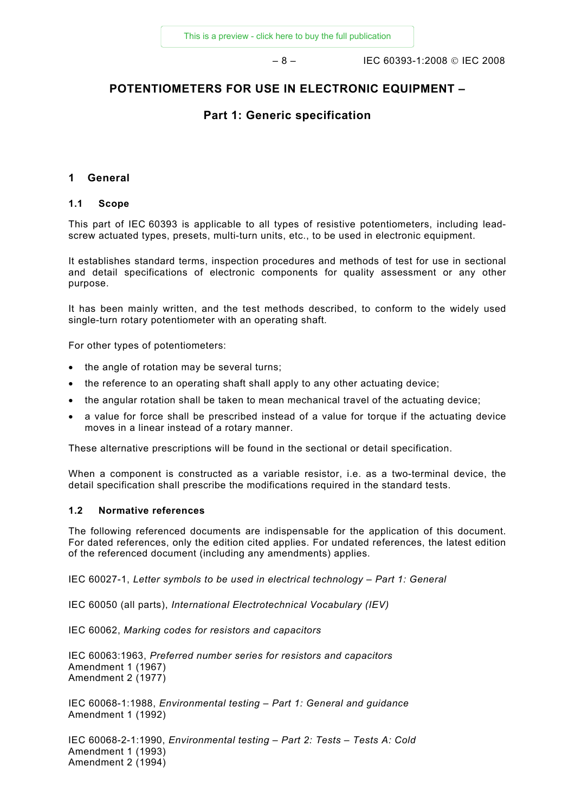– 8 – IEC 60393-1:2008 IEC 2008

### **POTENTIOMETERS FOR USE IN ELECTRONIC EQUIPMENT –**

### **Part 1: Generic specification**

### **1 General**

### **1.1 Scope**

This part of IEC 60393 is applicable to all types of resistive potentiometers, including leadscrew actuated types, presets, multi-turn units, etc., to be used in electronic equipment.

It establishes standard terms, inspection procedures and methods of test for use in sectional and detail specifications of electronic components for quality assessment or any other purpose.

It has been mainly written, and the test methods described, to conform to the widely used single-turn rotary potentiometer with an operating shaft*.* 

For other types of potentiometers:

- the angle of rotation may be several turns;
- the reference to an operating shaft shall apply to any other actuating device;
- the angular rotation shall be taken to mean mechanical travel of the actuating device;
- a value for force shall be prescribed instead of a value for torque if the actuating device moves in a linear instead of a rotary manner.

These alternative prescriptions will be found in the sectional or detail specification.

When a component is constructed as a variable resistor, i.e. as a two-terminal device, the detail specification shall prescribe the modifications required in the standard tests.

### **1.2 Normative references**

The following referenced documents are indispensable for the application of this document. For dated references, only the edition cited applies. For undated references, the latest edition of the referenced document (including any amendments) applies.

IEC 60027-1, *Letter symbols to be used in electrical technology – Part 1: General*

IEC 60050 (all parts), *International Electrotechnical Vocabulary (IEV)* 

IEC 60062, *Marking codes for resistors and capacitors*

IEC 60063:1963, *Preferred number series for resistors and capacitors* Amendment 1 (1967) Amendment 2 (1977)

IEC 60068-1:1988, *Environmental testing – Part 1: General and guidance* Amendment 1 (1992)

IEC 60068-2-1:1990, *Environmental testing – Part 2: Tests – Tests A: Cold* Amendment 1 (1993) Amendment 2 (1994)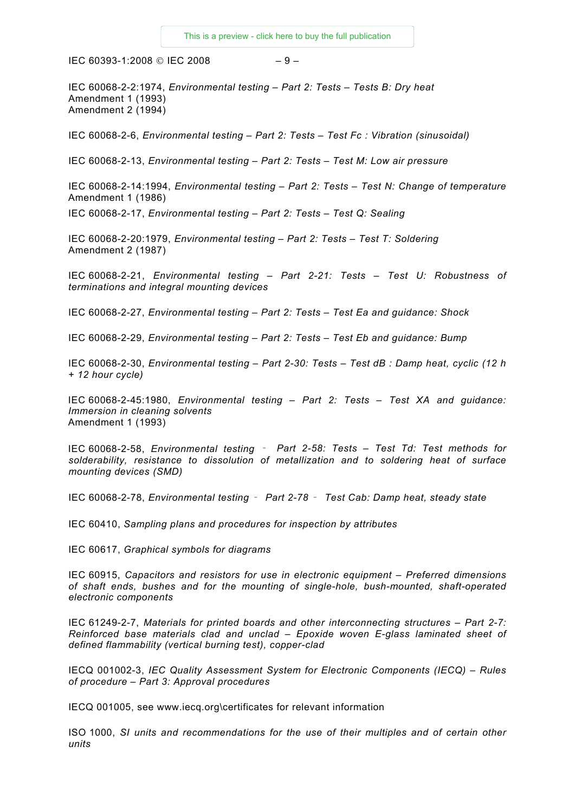IEC 60393-1:2008 © IEC 2008

$$
-9-
$$

IEC 60068-2-2:1974, *Environmental testing – Part 2: Tests – Tests B: Dry heat* Amendment 1 (1993) Amendment 2 (1994)

IEC 60068-2-6, *Environmental testing – Part 2: Tests – Test Fc : Vibration (sinusoidal)*

IEC 60068-2-13, *Environmental testing – Part 2: Tests – Test M: Low air pressure*

IEC 60068-2-14:1994, *Environmental testing – Part 2: Tests – Test N: Change of temperature* Amendment 1 (1986)

IEC 60068-2-17, *Environmental testing – Part 2: Tests – Test Q: Sealing*

IEC 60068-2-20:1979, *Environmental testing – Part 2: Tests – Test T: Soldering* Amendment 2 (1987)

IEC 60068-2-21, *Environmental testing – Part 2-21: Tests – Test U: Robustness of terminations and integral mounting devices* 

IEC 60068-2-27, *Environmental testing – Part 2: Tests – Test Ea and guidance: Shock*

IEC 60068-2-29, *Environmental testing – Part 2: Tests – Test Eb and guidance: Bump*

IEC 60068-2-30, *Environmental testing – Part 2-30: Tests – Test dB : Damp heat, cyclic (12 h + 12 hour cycle)*

IEC 60068-2-45:1980, *Environmental testing – Part 2: Tests – Test XA and guidance: Immersion in cleaning solvents* Amendment 1 (1993)

IEC 60068-2-58, *Environmental testing* – *Part 2-58: Tests – Test Td: Test methods for solderability, resistance to dissolution of metallization and to soldering heat of surface mounting devices (SMD)*

IEC 60068-2-78, *Environmental testing* – *Part 2-78* – *Test Cab: Damp heat, steady state*

IEC 60410, *Sampling plans and procedures for inspection by attributes*

IEC 60617, *Graphical symbols for diagrams*

IEC 60915, *Capacitors and resistors for use in electronic equipment – Preferred dimensions of shaft ends, bushes and for the mounting of single-hole, bush-mounted, shaft-operated electronic components*

IEC 61249-2-7, *Materials for printed boards and other interconnecting structures – Part 2-7: Reinforced base materials clad and unclad – Epoxide woven E-glass laminated sheet of defined flammability (vertical burning test), copper-clad*

IECQ 001002-3, *IEC Quality Assessment System for Electronic Components (IECQ) – Rules of procedure – Part 3: Approval procedures* 

IECQ 001005, see [www.iecq.org\certificates](http://www.iecq.org/certificates) for relevant information

ISO 1000, *SI units and recommendations for the use of their multiples and of certain other units*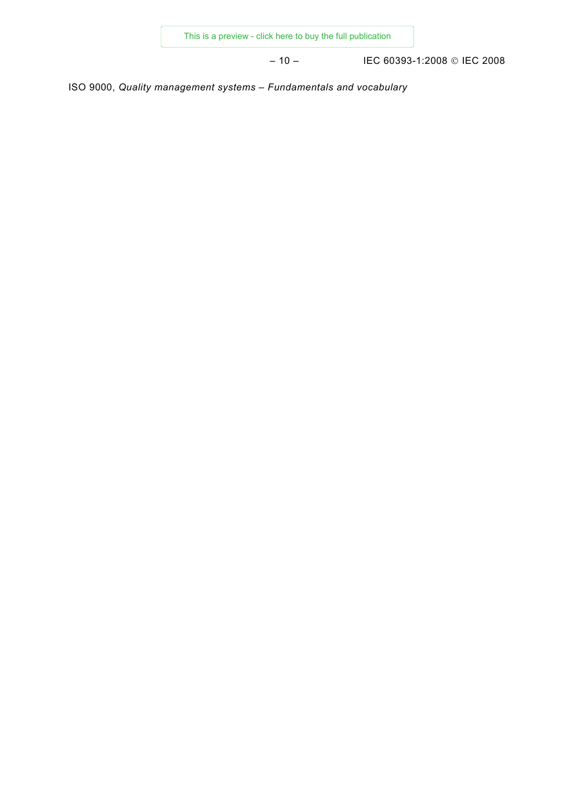– 10 – IEC 60393-1:2008 IEC 2008

ISO 9000, *Quality management systems – Fundamentals and vocabulary*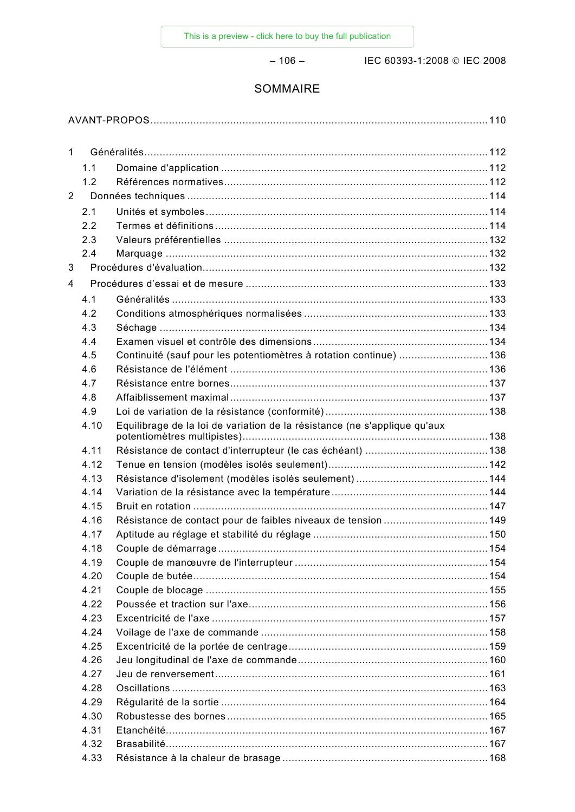$-106-$ 

IEC 60393-1:2008 © IEC 2008

### SOMMAIRE

| 1.1<br>1.2<br>2.1<br>2.2<br>2.3<br>2.4<br>4.1<br>4.2<br>4.3<br>4.4<br>Continuité (sauf pour les potentiomètres à rotation continue)  136<br>4.5<br>4.6<br>4.7<br>4.8<br>4.9<br>Equilibrage de la loi de variation de la résistance (ne s'applique qu'aux<br>4.10<br>4.11<br>4.12<br>4.13<br>4.14<br>4.15<br>4.16<br>4.17<br>4.18<br>4.19<br>4.20<br>4.21<br>4.22<br>4.23<br>4.24<br>4.25<br>4.26<br>4.27<br>4.28<br>4.29<br>4.30<br>4.31<br>4.32 | 1              |      |  |
|--------------------------------------------------------------------------------------------------------------------------------------------------------------------------------------------------------------------------------------------------------------------------------------------------------------------------------------------------------------------------------------------------------------------------------------------------|----------------|------|--|
|                                                                                                                                                                                                                                                                                                                                                                                                                                                  |                |      |  |
|                                                                                                                                                                                                                                                                                                                                                                                                                                                  |                |      |  |
|                                                                                                                                                                                                                                                                                                                                                                                                                                                  | $\overline{2}$ |      |  |
|                                                                                                                                                                                                                                                                                                                                                                                                                                                  |                |      |  |
|                                                                                                                                                                                                                                                                                                                                                                                                                                                  |                |      |  |
|                                                                                                                                                                                                                                                                                                                                                                                                                                                  |                |      |  |
|                                                                                                                                                                                                                                                                                                                                                                                                                                                  |                |      |  |
|                                                                                                                                                                                                                                                                                                                                                                                                                                                  | 3              |      |  |
|                                                                                                                                                                                                                                                                                                                                                                                                                                                  | 4              |      |  |
|                                                                                                                                                                                                                                                                                                                                                                                                                                                  |                |      |  |
|                                                                                                                                                                                                                                                                                                                                                                                                                                                  |                |      |  |
|                                                                                                                                                                                                                                                                                                                                                                                                                                                  |                |      |  |
|                                                                                                                                                                                                                                                                                                                                                                                                                                                  |                |      |  |
|                                                                                                                                                                                                                                                                                                                                                                                                                                                  |                |      |  |
|                                                                                                                                                                                                                                                                                                                                                                                                                                                  |                |      |  |
|                                                                                                                                                                                                                                                                                                                                                                                                                                                  |                |      |  |
|                                                                                                                                                                                                                                                                                                                                                                                                                                                  |                |      |  |
|                                                                                                                                                                                                                                                                                                                                                                                                                                                  |                |      |  |
|                                                                                                                                                                                                                                                                                                                                                                                                                                                  |                |      |  |
|                                                                                                                                                                                                                                                                                                                                                                                                                                                  |                |      |  |
|                                                                                                                                                                                                                                                                                                                                                                                                                                                  |                |      |  |
|                                                                                                                                                                                                                                                                                                                                                                                                                                                  |                |      |  |
|                                                                                                                                                                                                                                                                                                                                                                                                                                                  |                |      |  |
|                                                                                                                                                                                                                                                                                                                                                                                                                                                  |                |      |  |
|                                                                                                                                                                                                                                                                                                                                                                                                                                                  |                |      |  |
|                                                                                                                                                                                                                                                                                                                                                                                                                                                  |                |      |  |
|                                                                                                                                                                                                                                                                                                                                                                                                                                                  |                |      |  |
|                                                                                                                                                                                                                                                                                                                                                                                                                                                  |                |      |  |
|                                                                                                                                                                                                                                                                                                                                                                                                                                                  |                |      |  |
|                                                                                                                                                                                                                                                                                                                                                                                                                                                  |                |      |  |
|                                                                                                                                                                                                                                                                                                                                                                                                                                                  |                |      |  |
|                                                                                                                                                                                                                                                                                                                                                                                                                                                  |                |      |  |
|                                                                                                                                                                                                                                                                                                                                                                                                                                                  |                |      |  |
|                                                                                                                                                                                                                                                                                                                                                                                                                                                  |                |      |  |
|                                                                                                                                                                                                                                                                                                                                                                                                                                                  |                |      |  |
|                                                                                                                                                                                                                                                                                                                                                                                                                                                  |                |      |  |
|                                                                                                                                                                                                                                                                                                                                                                                                                                                  |                |      |  |
|                                                                                                                                                                                                                                                                                                                                                                                                                                                  |                |      |  |
|                                                                                                                                                                                                                                                                                                                                                                                                                                                  |                |      |  |
|                                                                                                                                                                                                                                                                                                                                                                                                                                                  |                |      |  |
|                                                                                                                                                                                                                                                                                                                                                                                                                                                  |                |      |  |
|                                                                                                                                                                                                                                                                                                                                                                                                                                                  |                |      |  |
|                                                                                                                                                                                                                                                                                                                                                                                                                                                  |                | 4.33 |  |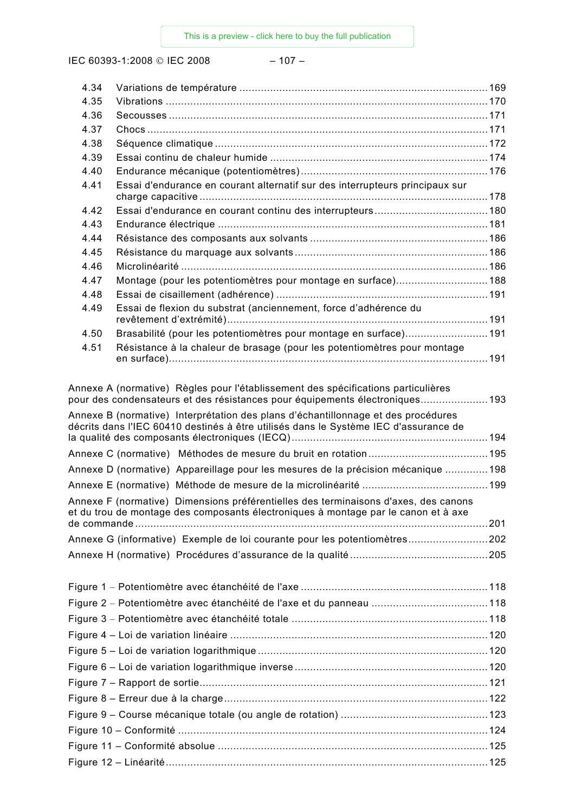IEC 60393-1:2008 © IEC 2008 - 107 -

| 4.34         |                                                                                                                                                                                                                                                                                                                                               |  |
|--------------|-----------------------------------------------------------------------------------------------------------------------------------------------------------------------------------------------------------------------------------------------------------------------------------------------------------------------------------------------|--|
| 4.35         |                                                                                                                                                                                                                                                                                                                                               |  |
| 4.36         |                                                                                                                                                                                                                                                                                                                                               |  |
| 4.37         |                                                                                                                                                                                                                                                                                                                                               |  |
| 4.38         |                                                                                                                                                                                                                                                                                                                                               |  |
| 4.39         |                                                                                                                                                                                                                                                                                                                                               |  |
| 4.40<br>4.41 | Essai d'endurance en courant alternatif sur des interrupteurs principaux sur                                                                                                                                                                                                                                                                  |  |
|              |                                                                                                                                                                                                                                                                                                                                               |  |
| 4.42         |                                                                                                                                                                                                                                                                                                                                               |  |
| 4.43         |                                                                                                                                                                                                                                                                                                                                               |  |
| 4.44         |                                                                                                                                                                                                                                                                                                                                               |  |
| 4.45         |                                                                                                                                                                                                                                                                                                                                               |  |
| 4.46         |                                                                                                                                                                                                                                                                                                                                               |  |
| 4.47         | Montage (pour les potentiomètres pour montage en surface)188                                                                                                                                                                                                                                                                                  |  |
| 4.48         |                                                                                                                                                                                                                                                                                                                                               |  |
| 4.49         | Essai de flexion du substrat (anciennement, force d'adhérence du                                                                                                                                                                                                                                                                              |  |
| 4.50         | Brasabilité (pour les potentiomètres pour montage en surface)191                                                                                                                                                                                                                                                                              |  |
| 4.51         | Résistance à la chaleur de brasage (pour les potentiomètres pour montage                                                                                                                                                                                                                                                                      |  |
|              |                                                                                                                                                                                                                                                                                                                                               |  |
|              | Annexe A (normative) Règles pour l'établissement des spécifications particulières<br>pour des condensateurs et des résistances pour équipements électroniques193<br>Annexe B (normative) Interprétation des plans d'échantillonnage et des procédures<br>décrits dans l'IEC 60410 destinés à être utilisés dans le Système IEC d'assurance de |  |
|              | la qualité des composants électroniques (IECQ)…………………………………………………………194                                                                                                                                                                                                                                                                       |  |
|              |                                                                                                                                                                                                                                                                                                                                               |  |
|              | Annexe D (normative) Appareillage pour les mesures de la précision mécanique 198                                                                                                                                                                                                                                                              |  |
|              |                                                                                                                                                                                                                                                                                                                                               |  |
|              | Annexe F (normative) Dimensions préférentielles des terminaisons d'axes, des canons<br>et du trou de montage des composants électroniques à montage par le canon et à axe                                                                                                                                                                     |  |
|              | Annexe G (informative) Exemple de loi courante pour les potentiomètres202                                                                                                                                                                                                                                                                     |  |
|              |                                                                                                                                                                                                                                                                                                                                               |  |
|              |                                                                                                                                                                                                                                                                                                                                               |  |
|              |                                                                                                                                                                                                                                                                                                                                               |  |
|              | Figure 2 - Potentiomètre avec étanchéité de l'axe et du panneau 118                                                                                                                                                                                                                                                                           |  |
|              |                                                                                                                                                                                                                                                                                                                                               |  |
|              |                                                                                                                                                                                                                                                                                                                                               |  |
|              | Figure 5 – Loi de variation logarithmique…………………………………………………………………120                                                                                                                                                                                                                                                                         |  |
|              |                                                                                                                                                                                                                                                                                                                                               |  |
|              | Figure 7 – Rapport de sortie…………………………………………………………………………………………121                                                                                                                                                                                                                                                                             |  |
|              |                                                                                                                                                                                                                                                                                                                                               |  |
|              |                                                                                                                                                                                                                                                                                                                                               |  |
|              |                                                                                                                                                                                                                                                                                                                                               |  |
|              |                                                                                                                                                                                                                                                                                                                                               |  |
|              |                                                                                                                                                                                                                                                                                                                                               |  |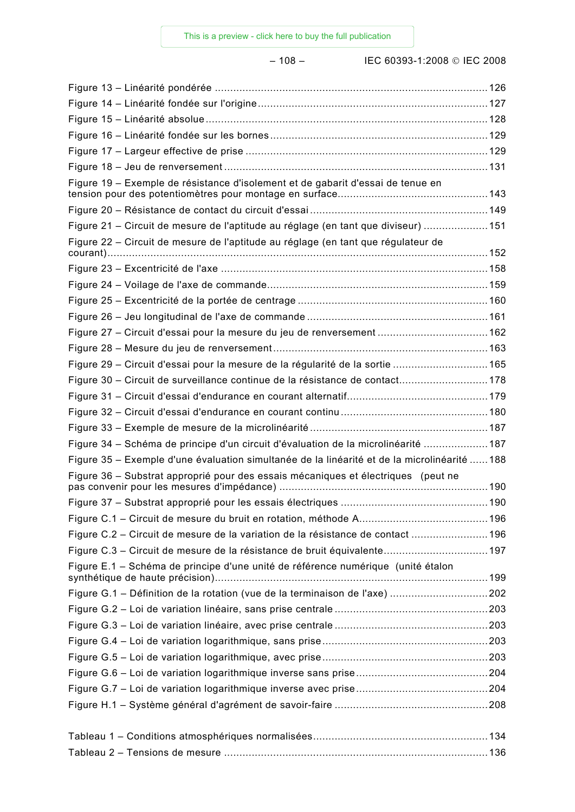– 108 – IEC 60393-1:2008 IEC 2008

| Figure 19 - Exemple de résistance d'isolement et de gabarit d'essai de tenue en              |  |
|----------------------------------------------------------------------------------------------|--|
|                                                                                              |  |
| Figure 21 – Circuit de mesure de l'aptitude au réglage (en tant que diviseur) 151            |  |
| Figure 22 - Circuit de mesure de l'aptitude au réglage (en tant que régulateur de            |  |
|                                                                                              |  |
|                                                                                              |  |
|                                                                                              |  |
|                                                                                              |  |
| Figure 27 - Circuit d'essai pour la mesure du jeu de renversement  162                       |  |
|                                                                                              |  |
| Figure 29 - Circuit d'essai pour la mesure de la régularité de la sortie  165                |  |
| Figure 30 - Circuit de surveillance continue de la résistance de contact 178                 |  |
|                                                                                              |  |
|                                                                                              |  |
|                                                                                              |  |
| Figure 34 - Schéma de principe d'un circuit d'évaluation de la microlinéarité  187           |  |
| Figure 35 – Exemple d'une évaluation simultanée de la linéarité et de la microlinéarité  188 |  |
| Figure 36 – Substrat approprié pour des essais mécaniques et électriques (peut ne            |  |
|                                                                                              |  |
|                                                                                              |  |
| Figure C.2 – Circuit de mesure de la variation de la résistance de contact 196               |  |
| Figure C.3 – Circuit de mesure de la résistance de bruit équivalente197                      |  |
| Figure E.1 - Schéma de principe d'une unité de référence numérique (unité étalon             |  |
| Figure G.1 - Définition de la rotation (vue de la terminaison de l'axe) 202                  |  |
|                                                                                              |  |
|                                                                                              |  |
|                                                                                              |  |
|                                                                                              |  |
|                                                                                              |  |
|                                                                                              |  |
|                                                                                              |  |
|                                                                                              |  |
|                                                                                              |  |
|                                                                                              |  |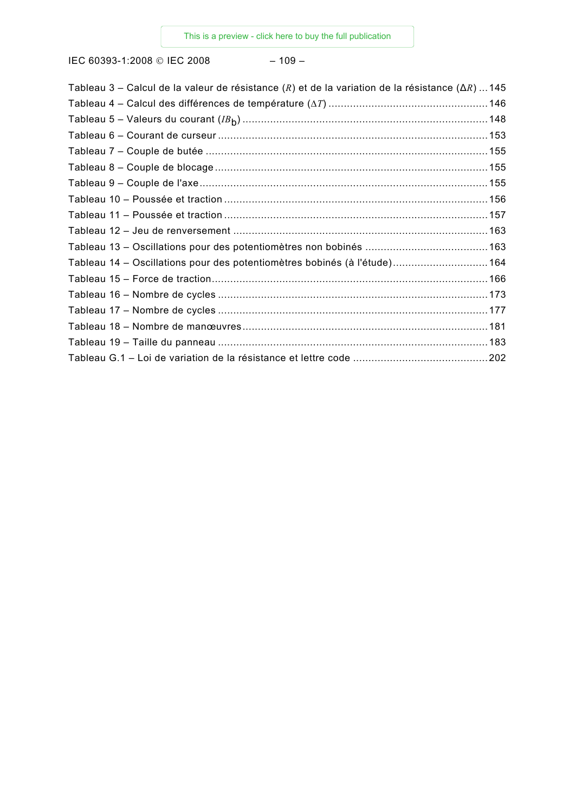IEC 60393-1:2008 © IEC 2008 –

| I<br>۰, |  |
|---------|--|
|         |  |

| Tableau 3 – Calcul de la valeur de résistance $(R)$ et de la variation de la résistance $(\Delta R)$ 145 |  |
|----------------------------------------------------------------------------------------------------------|--|
|                                                                                                          |  |
|                                                                                                          |  |
|                                                                                                          |  |
|                                                                                                          |  |
|                                                                                                          |  |
|                                                                                                          |  |
|                                                                                                          |  |
|                                                                                                          |  |
|                                                                                                          |  |
|                                                                                                          |  |
| Tableau 14 - Oscillations pour des potentiomètres bobinés (à l'étude)164                                 |  |
|                                                                                                          |  |
|                                                                                                          |  |
|                                                                                                          |  |
|                                                                                                          |  |
|                                                                                                          |  |
|                                                                                                          |  |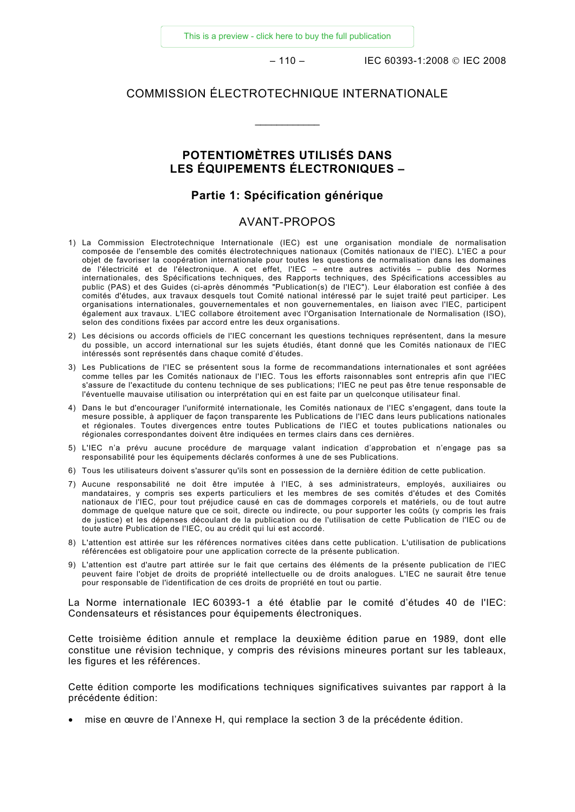[This is a preview - click here to buy the full publication](https://webstore.iec.ch/publication/2017&preview=1)

– 110 – IEC 60393-1:2008 IEC 2008

### COMMISSION ÉLECTROTECHNIQUE INTERNATIONALE

 $\overline{\phantom{a}}$ 

### **POTENTIOMÈTRES UTILISÉS DANS LES ÉQUIPEMENTS ÉLECTRONIQUES –**

### **Partie 1: Spécification générique**

### AVANT-PROPOS

- <span id="page-14-0"></span>1) La Commission Electrotechnique Internationale (IEC) est une organisation mondiale de normalisation composée de l'ensemble des comités électrotechniques nationaux (Comités nationaux de l'IEC). L'IEC a pour objet de favoriser la coopération internationale pour toutes les questions de normalisation dans les domaines de l'électricité et de l'électronique. A cet effet, l'IEC – entre autres activités – publie des Normes internationales, des Spécifications techniques, des Rapports techniques, des Spécifications accessibles au public (PAS) et des Guides (ci-après dénommés "Publication(s) de l'IEC"). Leur élaboration est confiée à des comités d'études, aux travaux desquels tout Comité national intéressé par le sujet traité peut participer. Les organisations internationales, gouvernementales et non gouvernementales, en liaison avec l'IEC, participent également aux travaux. L'IEC collabore étroitement avec l'Organisation Internationale de Normalisation (ISO), selon des conditions fixées par accord entre les deux organisations.
- 2) Les décisions ou accords officiels de l'IEC concernant les questions techniques représentent, dans la mesure du possible, un accord international sur les sujets étudiés, étant donné que les Comités nationaux de l'IEC intéressés sont représentés dans chaque comité d'études.
- 3) Les Publications de l'IEC se présentent sous la forme de recommandations internationales et sont agréées comme telles par les Comités nationaux de l'IEC. Tous les efforts raisonnables sont entrepris afin que l'IEC s'assure de l'exactitude du contenu technique de ses publications; l'IEC ne peut pas être tenue responsable de l'éventuelle mauvaise utilisation ou interprétation qui en est faite par un quelconque utilisateur final.
- 4) Dans le but d'encourager l'uniformité internationale, les Comités nationaux de l'IEC s'engagent, dans toute la mesure possible, à appliquer de façon transparente les Publications de l'IEC dans leurs publications nationales et régionales. Toutes divergences entre toutes Publications de l'IEC et toutes publications nationales ou régionales correspondantes doivent être indiquées en termes clairs dans ces dernières.
- 5) L'IEC n'a prévu aucune procédure de marquage valant indication d'approbation et n'engage pas sa responsabilité pour les équipements déclarés conformes à une de ses Publications.
- 6) Tous les utilisateurs doivent s'assurer qu'ils sont en possession de la dernière édition de cette publication.
- 7) Aucune responsabilité ne doit être imputée à l'IEC, à ses administrateurs, employés, auxiliaires ou mandataires, y compris ses experts particuliers et les membres de ses comités d'études et des Comités nationaux de l'IEC, pour tout préjudice causé en cas de dommages corporels et matériels, ou de tout autre dommage de quelque nature que ce soit, directe ou indirecte, ou pour supporter les coûts (y compris les frais de justice) et les dépenses découlant de la publication ou de l'utilisation de cette Publication de l'IEC ou de toute autre Publication de l'IEC, ou au crédit qui lui est accordé.
- 8) L'attention est attirée sur les références normatives citées dans cette publication. L'utilisation de publications référencées est obligatoire pour une application correcte de la présente publication.
- 9) L'attention est d'autre part attirée sur le fait que certains des éléments de la présente publication de l'IEC peuvent faire l'objet de droits de propriété intellectuelle ou de droits analogues. L'IEC ne saurait être tenue pour responsable de l'identification de ces droits de propriété en tout ou partie.

La Norme internationale IEC 60393-1 a été établie par le comité d'études 40 de l'IEC: Condensateurs et résistances pour équipements électroniques.

Cette troisième édition annule et remplace la deuxième édition parue en 1989, dont elle constitue une révision technique, y compris des révisions mineures portant sur les tableaux, les figures et les références.

Cette édition comporte les modifications techniques significatives suivantes par rapport à la précédente édition:

• mise en œuvre de l'Annexe H, qui remplace la section 3 de la précédente édition.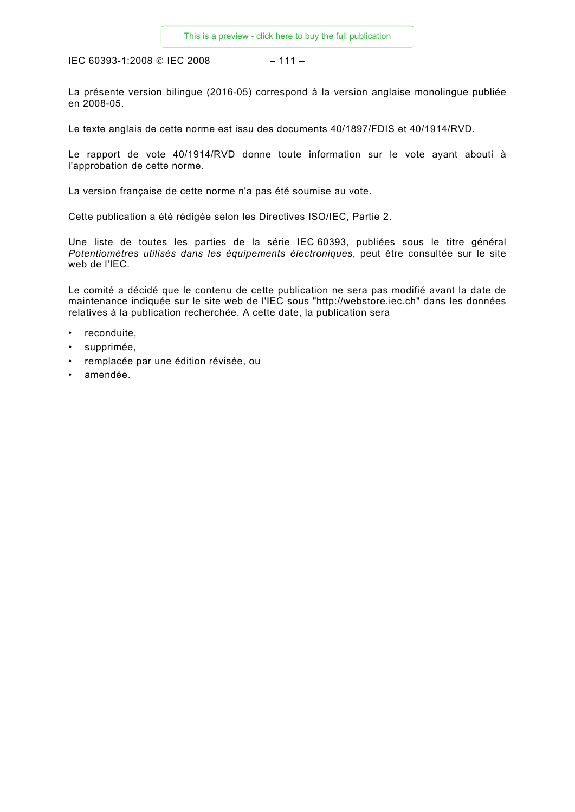IEC 60393-1:2008 IEC 2008 – 111 –

La présente version bilingue (2016-05) correspond à la version anglaise monolingue publiée en 2008-05.

Le texte anglais de cette norme est issu des documents 40/1897/FDIS et 40/1914/RVD.

Le rapport de vote 40/1914/RVD donne toute information sur le vote ayant abouti à l'approbation de cette norme.

La version française de cette norme n'a pas été soumise au vote.

Cette publication a été rédigée selon les Directives ISO/IEC, Partie 2.

Une liste de toutes les parties de la série IEC 60393, publiées sous le titre général *Potentiomètres utilisés dans les équipements électroniques*, peut être consultée sur le site web de l'IEC.

Le comité a décidé que le contenu de cette publication ne sera pas modifié avant la date de maintenance indiquée sur le site web de l'IEC sous "http://webstore.iec.ch" dans les données relatives à la publication recherchée. A cette date, la publication sera

- reconduite,
- supprimée,
- remplacée par une édition révisée, ou
- amendée.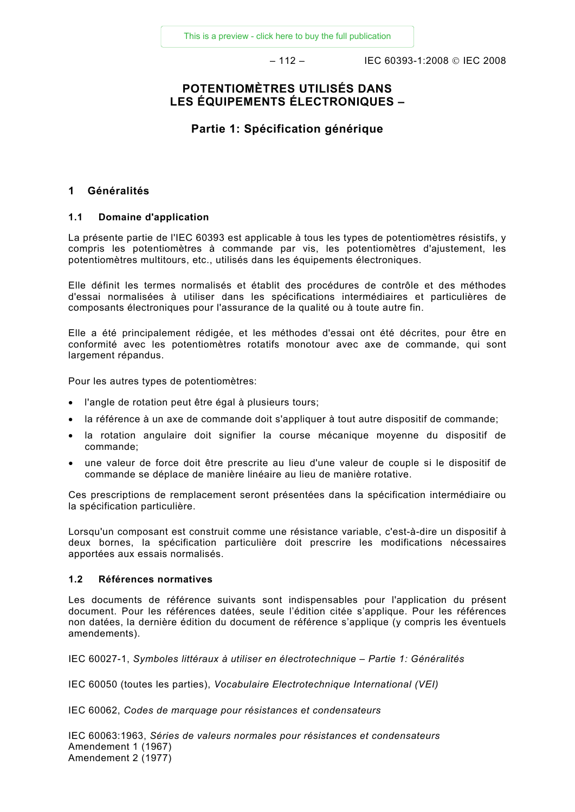– 112 – IEC 60393-1:2008 IEC 2008

### **POTENTIOMÈTRES UTILISÉS DANS LES ÉQUIPEMENTS ÉLECTRONIQUES –**

### **Partie 1: Spécification générique**

### <span id="page-16-0"></span>**1 Généralités**

### <span id="page-16-1"></span>**1.1 Domaine d'application**

La présente partie de l'IEC 60393 est applicable à tous les types de potentiomètres résistifs, y compris les potentiomètres à commande par vis, les potentiomètres d'ajustement, les potentiomètres multitours, etc., utilisés dans les équipements électroniques.

Elle définit les termes normalisés et établit des procédures de contrôle et des méthodes d'essai normalisées à utiliser dans les spécifications intermédiaires et particulières de composants électroniques pour l'assurance de la qualité ou à toute autre fin.

Elle a été principalement rédigée, et les méthodes d'essai ont été décrites, pour être en conformité avec les potentiomètres rotatifs monotour avec axe de commande, qui sont largement répandus.

Pour les autres types de potentiomètres:

- l'angle de rotation peut être égal à plusieurs tours;
- la référence à un axe de commande doit s'appliquer à tout autre dispositif de commande;
- la rotation angulaire doit signifier la course mécanique moyenne du dispositif de commande;
- une valeur de force doit être prescrite au lieu d'une valeur de couple si le dispositif de commande se déplace de manière linéaire au lieu de manière rotative.

Ces prescriptions de remplacement seront présentées dans la spécification intermédiaire ou la spécification particulière.

Lorsqu'un composant est construit comme une résistance variable, c'est-à-dire un dispositif à deux bornes, la spécification particulière doit prescrire les modifications nécessaires apportées aux essais normalisés.

### <span id="page-16-2"></span>**1.2 Références normatives**

Les documents de référence suivants sont indispensables pour l'application du présent document. Pour les références datées, seule l'édition citée s'applique. Pour les références non datées, la dernière édition du document de référence s'applique (y compris les éventuels amendements).

IEC 60027-1, *Symboles littéraux à utiliser en électrotechnique – Partie 1: Généralités*

IEC 60050 (toutes les parties), *Vocabulaire Electrotechnique International (VEI)* 

IEC 60062, *Codes de marquage pour résistances et condensateurs*

IEC 60063:1963, *Séries de valeurs normales pour résistances et condensateurs* Amendement 1 (1967) Amendement 2 (1977)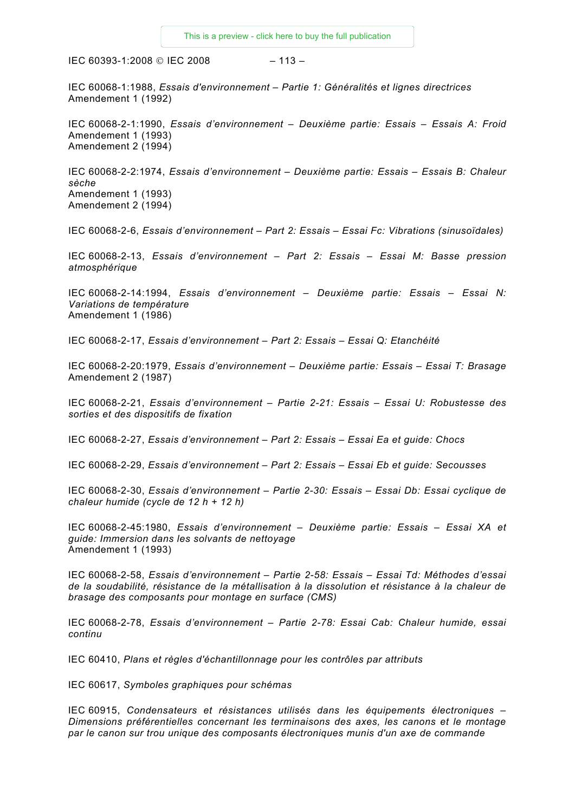IEC 60393-1:2008 IEC 2008 – 113 –

IEC 60068-1:1988, *Essais d'environnement – Partie 1: Généralités et lignes directrices* Amendement 1 (1992)

IEC 60068-2-1:1990, *Essais d'environnement – Deuxième partie: Essais – Essais A: Froid* Amendement 1 (1993) Amendement 2 (1994)

IEC 60068-2-2:1974, *Essais d'environnement – Deuxième partie: Essais – Essais B: Chaleur sèche* Amendement 1 (1993) Amendement 2 (1994)

IEC 60068-2-6, *Essais d'environnement – Part 2: Essais – Essai Fc: Vibrations (sinusoïdales)*

IEC 60068-2-13, *Essais d'environnement – Part 2: Essais – Essai M: Basse pression atmosphérique*

IEC 60068-2-14:1994, *Essais d'environnement – Deuxième partie: Essais – Essai N: Variations de température* Amendement 1 (1986)

IEC 60068-2-17, *Essais d'environnement – Part 2: Essais – Essai Q: Etanchéité*

IEC 60068-2-20:1979, *Essais d'environnement – Deuxième partie: Essais – Essai T: Brasage* Amendement 2 (1987)

IEC 60068-2-21, *Essais d'environnement – Partie 2-21: Essais – Essai U: Robustesse des sorties et des dispositifs de fixation* 

IEC 60068-2-27, *Essais d'environnement – Part 2: Essais – Essai Ea et guide: Chocs*

IEC 60068-2-29, *Essais d'environnement – Part 2: Essais – Essai Eb et guide: Secousses*

IEC 60068-2-30, *Essais d'environnement – Partie 2-30: Essais – Essai Db: Essai cyclique de chaleur humide (cycle de 12 h + 12 h)*

IEC 60068-2-45:1980, *Essais d'environnement – Deuxième partie: Essais – Essai XA et guide: Immersion dans les solvants de nettoyage* Amendement 1 (1993)

IEC 60068-2-58, *Essais d'environnement – Partie 2-58: Essais – Essai Td: Méthodes d'essai de la soudabilité, résistance de la métallisation à la dissolution et résistance à la chaleur de brasage des composants pour montage en surface (CMS)*

IEC 60068-2-78, *Essais d'environnement – Partie 2-78: Essai Cab: Chaleur humide, essai continu*

IEC 60410, *Plans et règles d'échantillonnage pour les contrôles par attributs*

IEC 60617, *Symboles graphiques pour schémas*

IEC 60915, *Condensateurs et résistances utilisés dans les équipements électroniques – Dimensions préférentielles concernant les terminaisons des axes, les canons et le montage par le canon sur trou unique des composants électroniques munis d'un axe de commande*